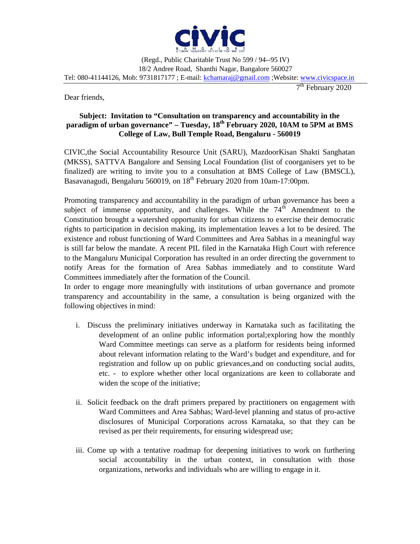

Dear friends,

7 th February 2020

## **Subject: Invitation to "Consultation on transparency and accountability in the paradigm of urban governance" – Tuesday, 18th February 2020, 10AM to 5PM at BMS College of Law, Bull Temple Road, Bengaluru - 560019**

CIVIC,the Social Accountability Resource Unit (SARU), MazdoorKisan Shakti Sanghatan (MKSS), SATTVA Bangalore and Sensing Local Foundation (list of coorganisers yet to be finalized) are writing to invite you to a consultation at BMS College of Law (BMSCL), Basavanagudi, Bengaluru 560019, on 18<sup>th</sup> February 2020 from 10am-17:00pm.

Promoting transparency and accountability in the paradigm of urban governance has been a subject of immense opportunity, and challenges. While the  $74<sup>th</sup>$  Amendment to the Constitution brought a watershed opportunity for urban citizens to exercise their democratic rights to participation in decision making, its implementation leaves a lot to be desired. The existence and robust functioning of Ward Committees and Area Sabhas in a meaningful way is still far below the mandate. A recent PIL filed in the Karnataka High Court with reference to the Mangaluru Municipal Corporation has resulted in an order directing the government to notify Areas for the formation of Area Sabhas immediately and to constitute Ward Committees immediately after the formation of the Council.

In order to engage more meaningfully with institutions of urban governance and promote transparency and accountability in the same, a consultation is being organized with the following objectives in mind:

- i. Discuss the preliminary initiatives underway in Karnataka such as facilitating the development of an online public information portal;exploring how the monthly Ward Committee meetings can serve as a platform for residents being informed about relevant information relating to the Ward's budget and expenditure, and for registration and follow up on public grievances,and on conducting social audits, etc. - to explore whether other local organizations are keen to collaborate and widen the scope of the initiative;
- ii. Solicit feedback on the draft primers prepared by practitioners on engagement with Ward Committees and Area Sabhas; Ward-level planning and status of pro-active disclosures of Municipal Corporations across Karnataka, so that they can be revised as per their requirements, for ensuring widespread use;
- iii. Come up with a tentative roadmap for deepening initiatives to work on furthering social accountability in the urban context, in consultation with those organizations, networks and individuals who are willing to engage in it.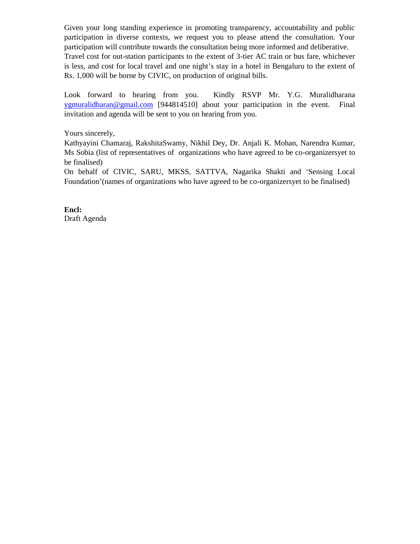Given your long standing experience in promoting transparency, accountability and public participation in diverse contexts, we request you to please attend the consultation. Your participation will contribute towards the consultation being more informed and deliberative. Travel cost for out-station participants to the extent of 3-tier AC train or bus fare, whichever is less, and cost for local travel and one night's stay in a hotel in Bengaluru to the extent of Rs. 1,000 will be borne by CIVIC, on production of original bills.

Look forward to hearing from you. Kindly RSVP Mr. Y.G. Muralidharana ygmuralidharan@gmail.com [944814510] about your participation in the event. Final invitation and agenda will be sent to you on hearing from you.

Yours sincerely,

Kathyayini Chamaraj, RakshitaSwamy, Nikhil Dey, Dr. Anjali K. Mohan, Narendra Kumar, Ms Sobia (list of representatives of organizations who have agreed to be co-organizersyet to be finalised)

On behalf of CIVIC, SARU, MKSS, SATTVA, Nagarika Shakti and 'Sensing Local Foundation'(names of organizations who have agreed to be co-organizersyet to be finalised)

**Encl:** Draft Agenda